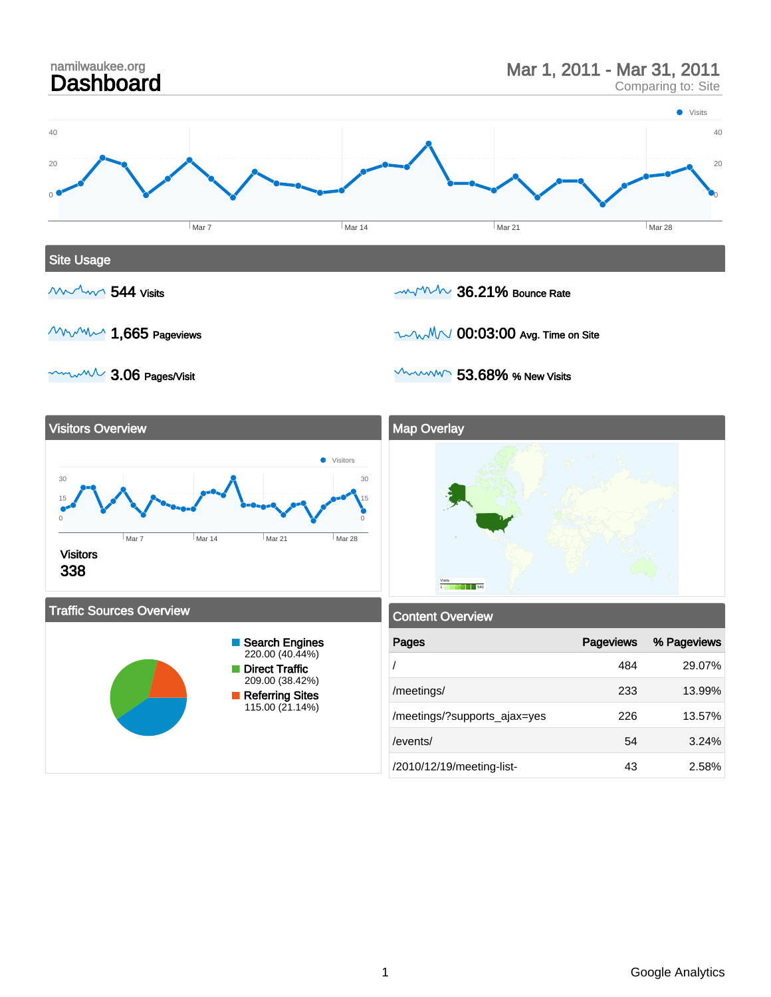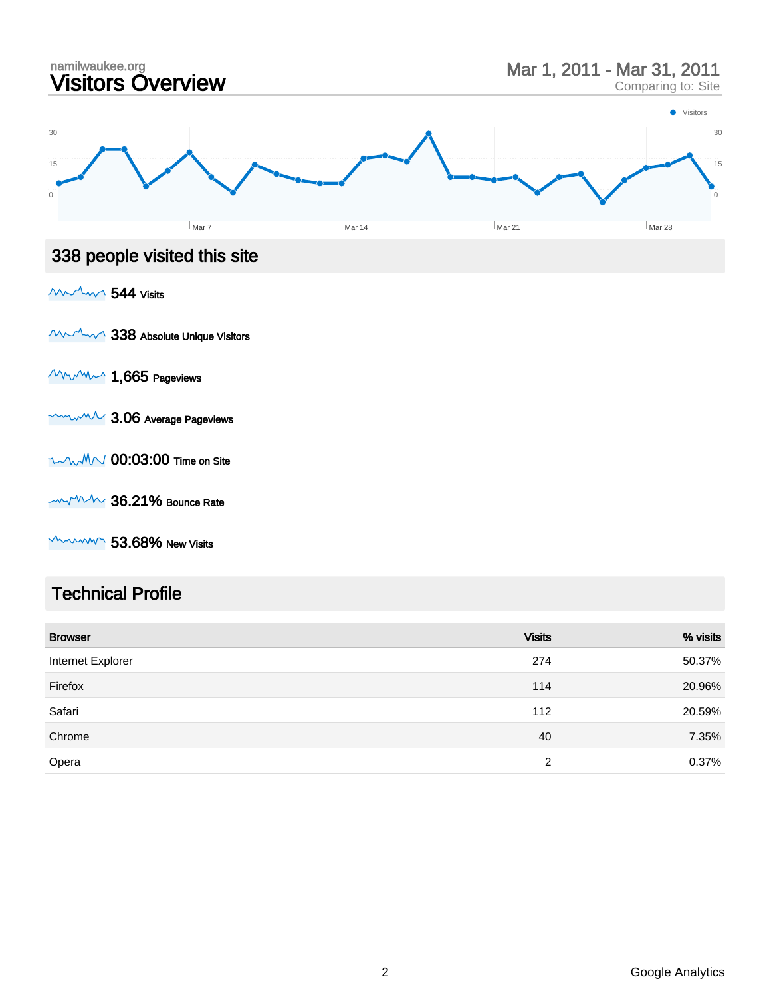

 $\sim$   $\sim$   $\sim$   $\sim$  53.68% New Visits

#### Technical Profile

| <b>Browser</b>    | <b>Visits</b> | % visits |
|-------------------|---------------|----------|
| Internet Explorer | 274           | 50.37%   |
| Firefox           | 114           | 20.96%   |
| Safari            | 112           | 20.59%   |
| Chrome            | 40            | 7.35%    |
| Opera             | 2             | 0.37%    |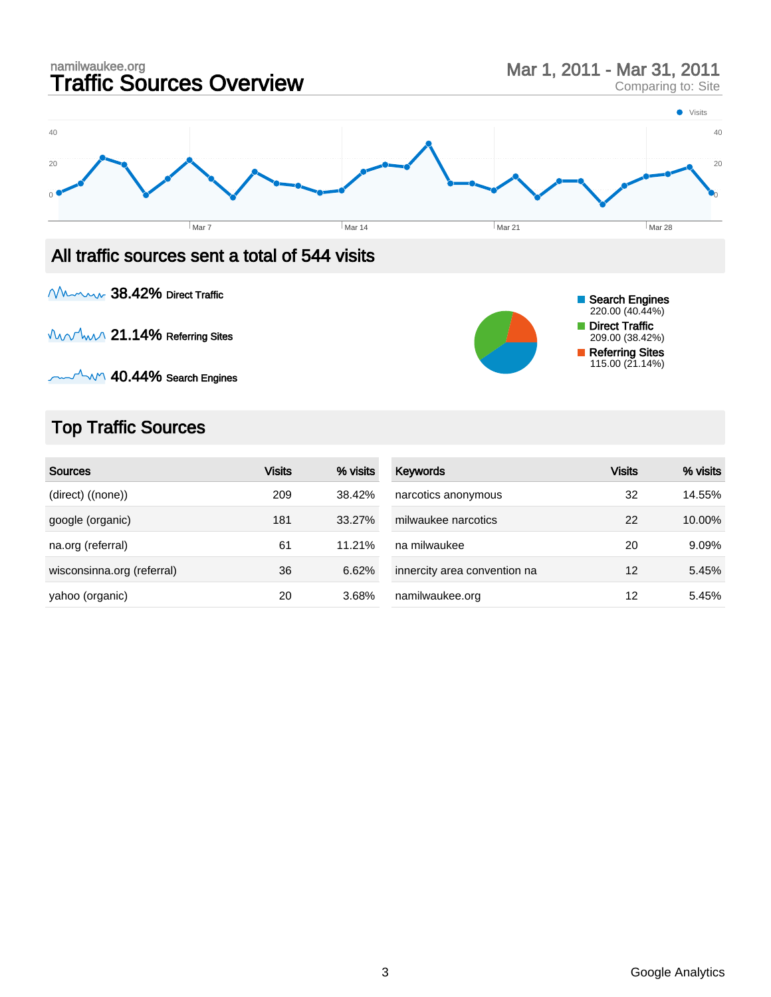

Munny 38.42% Direct Traffic

Munrhun 21.14% Referring Sites

 $M_{\odot}$  40.44% Search Engines

## Top Traffic Sources

| <b>Sources</b>             | <b>Visits</b> | % visits | Keywords                     | <b>Visits</b> | % visits |
|----------------------------|---------------|----------|------------------------------|---------------|----------|
| (direct) ((none))          | 209           | 38.42%   | narcotics anonymous          | 32            | 14.55%   |
| google (organic)           | 181           | 33.27%   | milwaukee narcotics          | 22            | 10.00%   |
| na.org (referral)          | 61            | 11.21%   | na milwaukee                 | 20            | 9.09%    |
| wisconsinna.org (referral) | 36            | 6.62%    | innercity area convention na | 12            | 5.45%    |
| yahoo (organic)            | 20            | 3.68%    | namilwaukee.org              | 12            | 5.45%    |

Search Engines 220.00 (40.44%) Direct Traffic 209.00 (38.42%) Referring Sites 115.00 (21.14%)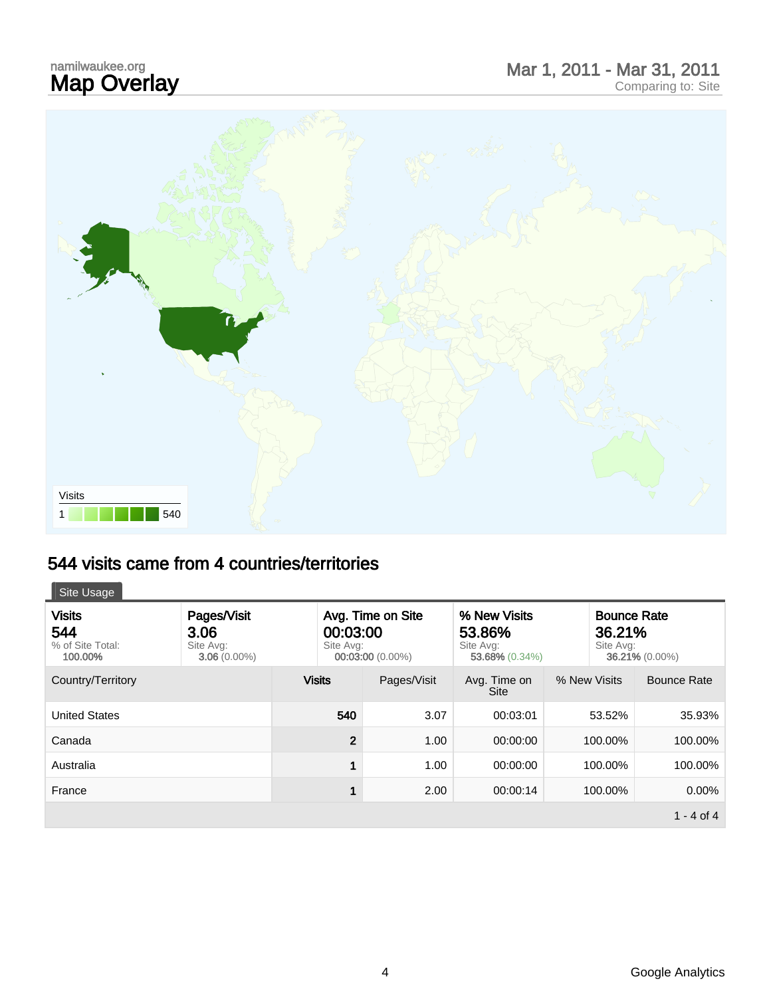# namilwaukee.org<br>**Map Overlay**

# namilwaukee.org<br> **Map Overlay Mar 1, 2011 - Mar 31, 2011**



#### 544 visits came from 4 countries/territories

| 271 VISILS CANIG HUNI 7 CUUNILIGS/LENILUNGS  |                                                    |                                                                |                      |                                                          |              |                                                             |  |
|----------------------------------------------|----------------------------------------------------|----------------------------------------------------------------|----------------------|----------------------------------------------------------|--------------|-------------------------------------------------------------|--|
| Site Usage                                   |                                                    |                                                                |                      |                                                          |              |                                                             |  |
| Visits<br>544<br>% of Site Total:<br>100.00% | Pages/Visit<br>3.06<br>Site Avg:<br>$3.06(0.00\%)$ | Avg. Time on Site<br>00:03:00<br>Site Avg:<br>00:03:00 (0.00%) |                      | % New Visits<br>53.86%<br>Site Avg:<br>$53.68\%$ (0.34%) |              | <b>Bounce Rate</b><br>36.21%<br>Site Avg:<br>36.21% (0.00%) |  |
| Country/Territory                            |                                                    | <b>Visits</b>                                                  | Pages/Visit          | Avg. Time on<br><b>Site</b>                              | % New Visits | <b>Bounce Rate</b>                                          |  |
| <b>United States</b>                         |                                                    | 540                                                            | 3.07                 | 00:03:01                                                 | 53.52%       | 35.93%                                                      |  |
| Canada                                       |                                                    |                                                                | $\mathbf{2}$<br>1.00 | 00:00:00                                                 | 100.00%      | 100.00%                                                     |  |
| Australia                                    |                                                    |                                                                | 1.00                 | 00:00:00                                                 | 100.00%      | 100.00%                                                     |  |
| France                                       |                                                    |                                                                | 1<br>2.00            | 00:00:14                                                 | 100.00%      | 0.00%                                                       |  |
|                                              |                                                    |                                                                |                      |                                                          |              | $1 - 4$ of 4                                                |  |
|                                              |                                                    |                                                                |                      |                                                          |              |                                                             |  |